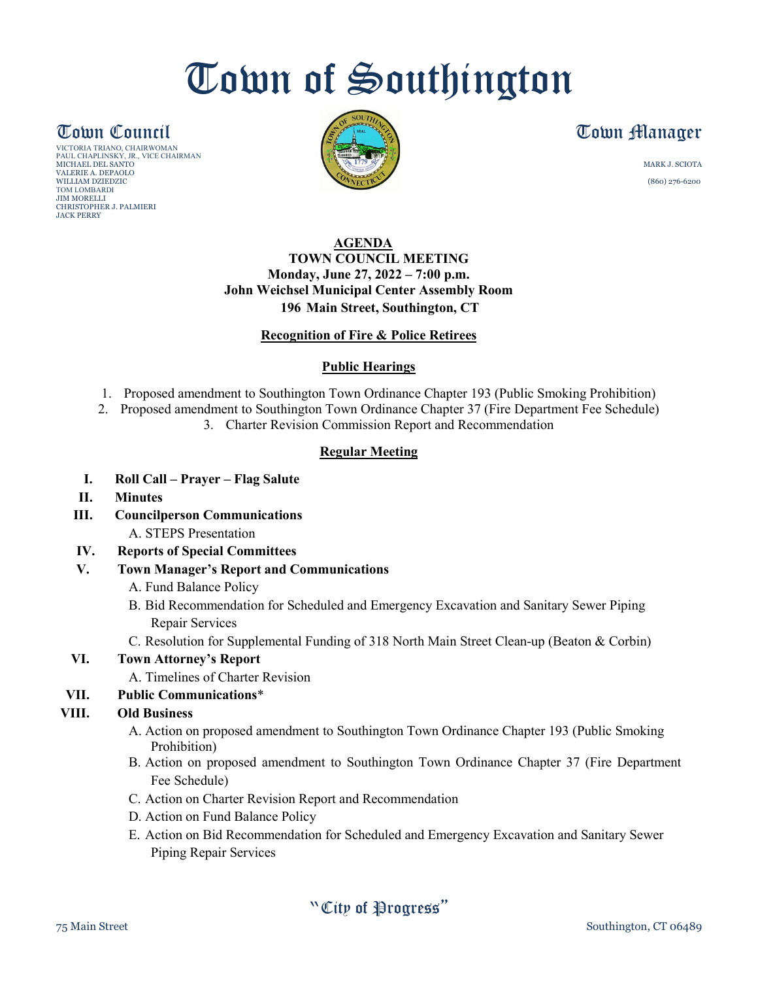## Town of Southington

VICTORIA TRIANO, CHAIRWOMAN PAUL CHAPLINSKY, JR., VICE CHAIRMAN MICHAEL DEL SANTO MARK J. SCIOTA VALERIE A. DEPAOLO WILLIAM DZIEDZIC (860) 276-6200 TOM LOMBARDI JIM MORELLI CHRISTOPHER J. PALMIERI JACK PERRY



### **Town Council Extra Section 1 (Section 1 Ally 1 Ally 1 Ally 1 Ally 1 Ally 1 Ally 1 Ally 1 Ally 1 Ally 1 Ally 1**

#### **AGENDA TOWN COUNCIL MEETING Monday, June 27, 2022 – 7:00 p.m. John Weichsel Municipal Center Assembly Room 196 Main Street, Southington, CT**

#### **Recognition of Fire & Police Retirees**

#### **Public Hearings**

- 1. Proposed amendment to Southington Town Ordinance Chapter 193 (Public Smoking Prohibition)
- 2. Proposed amendment to Southington Town Ordinance Chapter 37 (Fire Department Fee Schedule)
	- 3. Charter Revision Commission Report and Recommendation

#### **Regular Meeting**

- **I. Roll Call – Prayer – Flag Salute**
- **II. Minutes**
- **III. Councilperson Communications**
	- A. STEPS Presentation
- **IV. Reports of Special Committees**
- **V. Town Manager's Report and Communications**
	- A. Fund Balance Policy
	- B. Bid Recommendation for Scheduled and Emergency Excavation and Sanitary Sewer Piping Repair Services
	- C. Resolution for Supplemental Funding of 318 North Main Street Clean-up (Beaton & Corbin)

#### **VI. Town Attorney's Report**

- A. Timelines of Charter Revision
- **VII. Public Communications**\*

#### **VIII. Old Business**

- A. Action on proposed amendment to Southington Town Ordinance Chapter 193 (Public Smoking Prohibition)
- B. Action on proposed amendment to Southington Town Ordinance Chapter 37 (Fire Department Fee Schedule)
- C. Action on Charter Revision Report and Recommendation
- D. Action on Fund Balance Policy
- E. Action on Bid Recommendation for Scheduled and Emergency Excavation and Sanitary Sewer Piping Repair Services